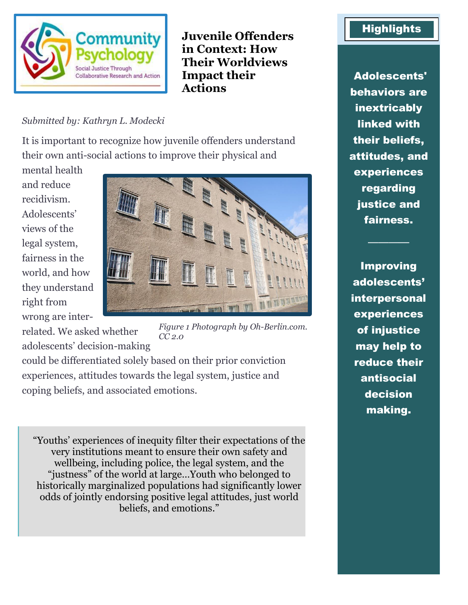

**Juvenile Offenders in Context: How Their Worldviews Impact their Actions** 

#### *Submitted by: Kathryn L. Modecki*

It is important to recognize how juvenile offenders understand their own anti-social actions to improve their physical and

mental health and reduce recidivism. Adolescents' views of the legal system, fairness in the world, and how they understand right from wrong are inter-



related. We asked whether adolescents' decision-making *Figure 1 Photograph by Oh-Berlin.com. CC 2.0*

could be differentiated solely based on their prior conviction experiences, attitudes towards the legal system, justice and coping beliefs, and associated emotions.

"Youths' experiences of inequity filter their expectations of the very institutions meant to ensure their own safety and wellbeing, including police, the legal system, and the "justness" of the world at large…Youth who belonged to historically marginalized populations had significantly lower odds of jointly endorsing positive legal attitudes, just world beliefs, and emotions."

# **Highlights**

Adolescents' behaviors are inextricably linked with their beliefs, attitudes, and experiences regarding justice and fairness.

Improving adolescents' interpersonal experiences of injustice may help to reduce their antisocial decision making.

────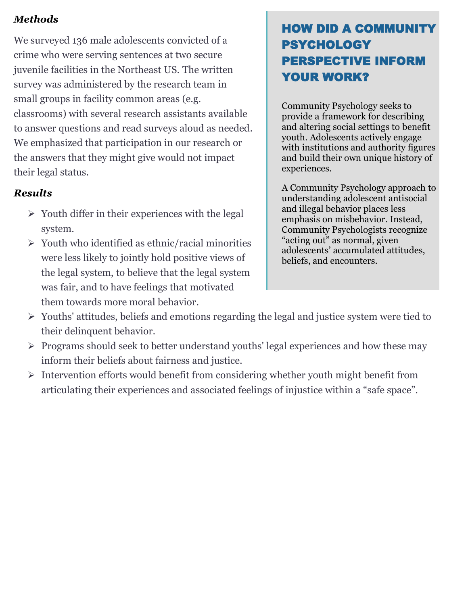## *Methods*

We surveyed 136 male adolescents convicted of a crime who were serving sentences at two secure juvenile facilities in the Northeast US. The written survey was administered by the research team in small groups in facility common areas (e.g. classrooms) with several research assistants available to answer questions and read surveys aloud as needed. We emphasized that participation in our research or the answers that they might give would not impact their legal status.

### *Results*

- $\triangleright$  Youth differ in their experiences with the legal system.
- ➢ Youth who identified as ethnic/racial minorities were less likely to jointly hold positive views of the legal system, to believe that the legal system was fair, and to have feelings that motivated them towards more moral behavior.

# HOW DID A COMMUNITY PSYCHOLOGY PERSPECTIVE INFORM YOUR WORK?

Community Psychology seeks to provide a framework for describing and altering social settings to benefit youth. Adolescents actively engage with institutions and authority figures and build their own unique history of experiences.

A Community Psychology approach to understanding adolescent antisocial and illegal behavior places less emphasis on misbehavior. Instead, Community Psychologists recognize "acting out" as normal, given adolescents' accumulated attitudes, beliefs, and encounters.

- ➢ Youths' attitudes, beliefs and emotions regarding the legal and justice system were tied to their delinquent behavior.
- ➢ Programs should seek to better understand youths' legal experiences and how these may inform their beliefs about fairness and justice.
- ➢ Intervention efforts would benefit from considering whether youth might benefit from articulating their experiences and associated feelings of injustice within a "safe space".